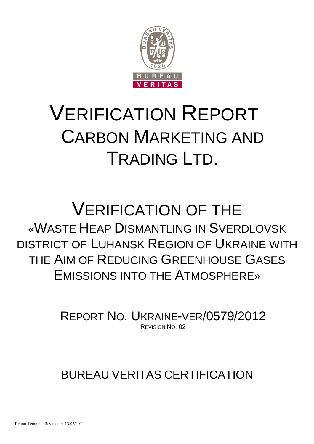

# VERIFICATION REPORT CARBON MARKETING AND TRADING LTD.

## VERIFICATION OF THE «WASTE HEAP DISMANTLING IN SVERDLOVSK DISTRICT OF LUHANSK REGION OF UKRAINE WITH THE AIM OF REDUCING GREENHOUSE GASES EMISSIONS INTO THE ATMOSPHERE»

REPORT NO. UKRAINE-VER/0579/2012 REVISION NO. 02

## BUREAU VERITAS CERTIFICATION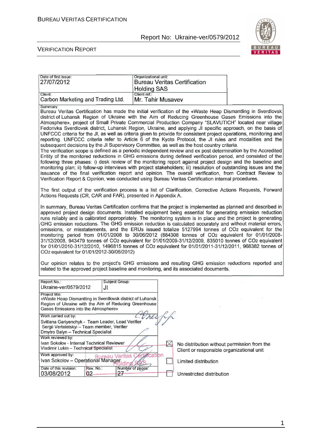

#### VERIFICATION REPORT

| Date of first issue:<br>27/07/2012                                                                                                                                                                                                                                                                                                                                                                                                                                                                                                                                                                                                                                                                                                                                                                                                                                                                                                                                                                                                                                                                                                                                                                                                                                                                                                                                                                                                                                              | Organizational unit:<br><b>Bureau Veritas Certification</b><br><b>Holding SAS</b> |                                                                   |  |
|---------------------------------------------------------------------------------------------------------------------------------------------------------------------------------------------------------------------------------------------------------------------------------------------------------------------------------------------------------------------------------------------------------------------------------------------------------------------------------------------------------------------------------------------------------------------------------------------------------------------------------------------------------------------------------------------------------------------------------------------------------------------------------------------------------------------------------------------------------------------------------------------------------------------------------------------------------------------------------------------------------------------------------------------------------------------------------------------------------------------------------------------------------------------------------------------------------------------------------------------------------------------------------------------------------------------------------------------------------------------------------------------------------------------------------------------------------------------------------|-----------------------------------------------------------------------------------|-------------------------------------------------------------------|--|
| Client:<br>Carbon Marketing and Trading Ltd.                                                                                                                                                                                                                                                                                                                                                                                                                                                                                                                                                                                                                                                                                                                                                                                                                                                                                                                                                                                                                                                                                                                                                                                                                                                                                                                                                                                                                                    | Client ref.:<br>Mr. Tahir Musavev                                                 |                                                                   |  |
| Summary:<br>Bureau Veritas Certification has made the initial verification of the «Waste Heap Dismantling in Sverdlovsk<br>district of Luhansk Region of Ukraine with the Aim of Reducing Greenhouse Gases Emissions into the<br>Atmosphere», project of Small Private Commercial Production Company "SLAVUTICH" located near village<br>Fedorivka Sverdlovsk district, Luhansk Region, Ukraine, and applying JI specific approach, on the basis of<br>UNFCCC criteria for the JI, as well as criteria given to provide for consistent project operations, monitoring and<br>reporting. UNFCCC criteria refer to Article 6 of the Kyoto Protocol, the JI rules and modalities and the<br>subsequent decisions by the JI Supervisory Committee, as well as the host country criteria.<br>The verification scope is defined as a periodic independent review and ex post determination by the Accredited<br>Entity of the monitored reductions in GHG emissions during defined verification period, and consisted of the<br>following three phases: i) desk review of the monitoring report against project design and the baseline and<br>monitoring plan; ii) follow-up interviews with project stakeholders; iii) resolution of outstanding issues and the<br>issuance of the final verification report and opinion. The overall verification, from Contract Review to<br>Verification Report & Opinion, was conducted using Bureau Veritas Certification internal procedures. |                                                                                   |                                                                   |  |
| The first output of the verification process is a list of Clarification, Corrective Actions Requests, Forward<br>Actions Requests (CR, CAR and FAR), presented in Appendix A.                                                                                                                                                                                                                                                                                                                                                                                                                                                                                                                                                                                                                                                                                                                                                                                                                                                                                                                                                                                                                                                                                                                                                                                                                                                                                                   |                                                                                   |                                                                   |  |
| In summary, Bureau Veritas Certification confirms that the project is implemented as planned and described in<br>approved project design documents. Installed equipment being essential for generating emission reduction<br>runs reliably and is calibrated appropriately. The monitoring system is in place and the project is generating<br>GHG emission reductions. The GHG emission reduction is calculated accurately and without material errors,<br>omissions, or misstatements, and the ERUs issued totalize 5127994 tonnes of CO2 equivalent for the<br>monitoring period from 01/01/2008 to 30/06/2012 (884308 tonnes of CO2 equivalent for 01/01/2008-<br>31/12/2008, 943479 tonnes of CO2 equivalent for 01/01/2009-31/12/2009, 835010 tonnes of CO2 equivalent<br>for 01/01/2010-31/12/2010, 1496815 tonnes of CO2 equivalent for 01/01/2011-31/12/2011, 968382 tonnes of<br>CO <sub>2</sub> equivalent for 01/01/2012-30/06/2012)<br>Our opinion relates to the project's GHG emissions and resulting GHG emission reductions reported and<br>related to the approved project baseline and monitoring, and its associated documents.                                                                                                                                                                                                                                                                                                                             |                                                                                   |                                                                   |  |
| Report No.:<br><b>Subject Group:</b><br>Ukraine-ver/0579/2012<br>JI                                                                                                                                                                                                                                                                                                                                                                                                                                                                                                                                                                                                                                                                                                                                                                                                                                                                                                                                                                                                                                                                                                                                                                                                                                                                                                                                                                                                             |                                                                                   |                                                                   |  |
| Project title:<br>«Waste Heap Dismantling in Sverdlovsk district of Luhansk<br>Region of Ukraine with the Aim of Reducing Greenhouse<br>Gases Emissions into the Atmosphere»<br>Work carried out by:<br>Svitlana Gariyenchyk - Team Leader, Lead Verifier<br>Sergii Verteletskyi - Team member, Verifier<br>Dmytro Balyn - Technical Specialist<br>Work reviewed by:<br>Ivan Sokolov - Internal Technical Reviewer<br>Vladimir Lukin - Technical Specialist                                                                                                                                                                                                                                                                                                                                                                                                                                                                                                                                                                                                                                                                                                                                                                                                                                                                                                                                                                                                                     | $\bowtie$                                                                         | No distribution without permission from the                       |  |
| Work approved by:<br>Ivan Sokolov - Operational Manager                                                                                                                                                                                                                                                                                                                                                                                                                                                                                                                                                                                                                                                                                                                                                                                                                                                                                                                                                                                                                                                                                                                                                                                                                                                                                                                                                                                                                         | ertication                                                                        | Client or responsible organizational unit<br>Limited distribution |  |
| Date of this revision:<br>Rev. No.:<br>03/08/2012<br>02                                                                                                                                                                                                                                                                                                                                                                                                                                                                                                                                                                                                                                                                                                                                                                                                                                                                                                                                                                                                                                                                                                                                                                                                                                                                                                                                                                                                                         | Number of pages.<br>27                                                            | Unrestricted distribution                                         |  |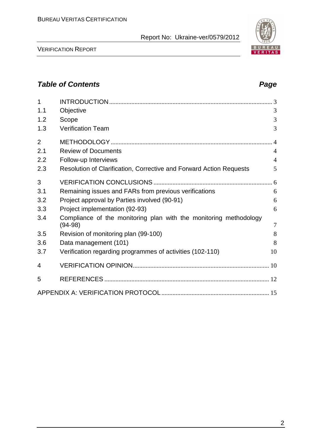

VERIFICATION REPORT

## **Table of Contents Page 2014**

| 1              |                                                                     |                |
|----------------|---------------------------------------------------------------------|----------------|
| 1.1            | Objective                                                           | 3              |
| 1.2            | Scope                                                               | 3              |
| 1.3            | <b>Verification Team</b>                                            | 3              |
| $\overline{2}$ |                                                                     |                |
| 2.1            | <b>Review of Documents</b>                                          | $\overline{4}$ |
| 2.2            | Follow-up Interviews                                                | $\overline{4}$ |
| 2.3            | Resolution of Clarification, Corrective and Forward Action Requests | 5              |
| 3              |                                                                     |                |
| 3.1            | Remaining issues and FARs from previous verifications               | 6              |
| 3.2            | Project approval by Parties involved (90-91)                        | 6              |
| 3.3            | Project implementation (92-93)                                      | 6              |
| 3.4            | Compliance of the monitoring plan with the monitoring methodology   |                |
|                | $(94-98)$                                                           | $\overline{7}$ |
| 3.5            | Revision of monitoring plan (99-100)                                | 8              |
| 3.6            | Data management (101)                                               | 8              |
| 3.7            | Verification regarding programmes of activities (102-110)           | 10             |
| 4              |                                                                     |                |
| 5              |                                                                     |                |
|                |                                                                     |                |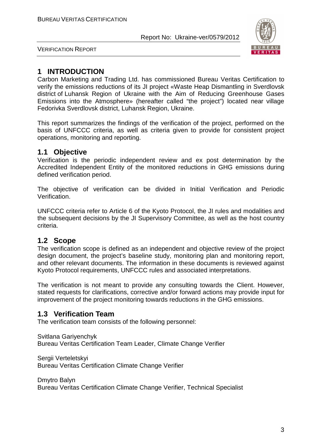

VERIFICATION REPORT

## **1 INTRODUCTION**

Carbon Marketing and Trading Ltd. has commissioned Bureau Veritas Certification to verify the emissions reductions of its JI project «Waste Heap Dismantling in Sverdlovsk district of Luhansk Region of Ukraine with the Aim of Reducing Greenhouse Gases Emissions into the Atmosphere» (hereafter called "the project") located near village Fedorivka Sverdlovsk district, Luhansk Region, Ukraine.

This report summarizes the findings of the verification of the project, performed on the basis of UNFCCC criteria, as well as criteria given to provide for consistent project operations, monitoring and reporting.

## **1.1 Objective**

Verification is the periodic independent review and ex post determination by the Accredited Independent Entity of the monitored reductions in GHG emissions during defined verification period.

The objective of verification can be divided in Initial Verification and Periodic Verification.

UNFCCC criteria refer to Article 6 of the Kyoto Protocol, the JI rules and modalities and the subsequent decisions by the JI Supervisory Committee, as well as the host country criteria.

## **1.2 Scope**

The verification scope is defined as an independent and objective review of the project design document, the project's baseline study, monitoring plan and monitoring report, and other relevant documents. The information in these documents is reviewed against Kyoto Protocol requirements, UNFCCC rules and associated interpretations.

The verification is not meant to provide any consulting towards the Client. However, stated requests for clarifications, corrective and/or forward actions may provide input for improvement of the project monitoring towards reductions in the GHG emissions.

## **1.3 Verification Team**

The verification team consists of the following personnel:

Svitlana Gariyenchyk Bureau Veritas Certification Team Leader, Climate Change Verifier

Sergii Verteletskyi Bureau Veritas Certification Climate Change Verifier

Dmytro Balyn

Bureau Veritas Certification Climate Change Verifier, Technical Specialist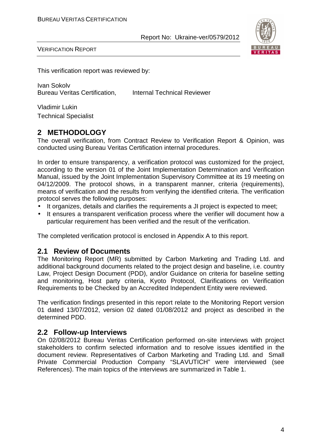

VERIFICATION REPORT

This verification report was reviewed by:

Ivan Sokolv Bureau Veritas Certification, Internal Technical Reviewer

Vladimir Lukin Technical Specialist

## **2 METHODOLOGY**

The overall verification, from Contract Review to Verification Report & Opinion, was conducted using Bureau Veritas Certification internal procedures.

In order to ensure transparency, a verification protocol was customized for the project, according to the version 01 of the Joint Implementation Determination and Verification Manual, issued by the Joint Implementation Supervisory Committee at its 19 meeting on 04/12/2009. The protocol shows, in a transparent manner, criteria (requirements), means of verification and the results from verifying the identified criteria. The verification protocol serves the following purposes:

- It organizes, details and clarifies the requirements a JI project is expected to meet;
- It ensures a transparent verification process where the verifier will document how a particular requirement has been verified and the result of the verification.

The completed verification protocol is enclosed in Appendix A to this report.

#### **2.1 Review of Documents**

The Monitoring Report (MR) submitted by Carbon Marketing and Trading Ltd. and additional background documents related to the project design and baseline, i.e. country Law, Project Design Document (PDD), and/or Guidance on criteria for baseline setting and monitoring, Host party criteria, Kyoto Protocol, Clarifications on Verification Requirements to be Checked by an Accredited Independent Entity were reviewed.

The verification findings presented in this report relate to the Monitoring Report version 01 dated 13/07/2012, version 02 dated 01/08/2012 and project as described in the determined PDD.

## **2.2 Follow-up Interviews**

On 02/08/2012 Bureau Veritas Certification performed on-site interviews with project stakeholders to confirm selected information and to resolve issues identified in the document review. Representatives of Carbon Marketing and Trading Ltd. and Small Private Commercial Production Company "SLAVUTICH" were interviewed (see References). The main topics of the interviews are summarized in Table 1.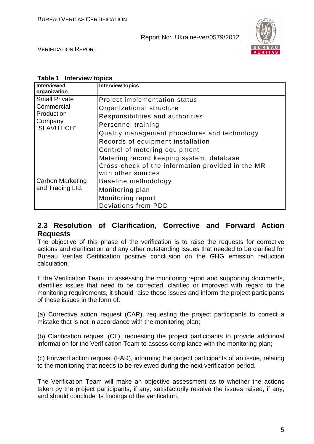

VERIFICATION REPORT

#### **Table 1 Interview topics**

| <b>Interviewed</b><br>organization                                         | <b>Interview topics</b>                                                                                                                                                                                                                                                                                                                                          |
|----------------------------------------------------------------------------|------------------------------------------------------------------------------------------------------------------------------------------------------------------------------------------------------------------------------------------------------------------------------------------------------------------------------------------------------------------|
| <b>Small Private</b><br>Commercial<br>Production<br>Company<br>"SLAVUTICH" | Project implementation status<br>Organizational structure<br>Responsibilities and authorities<br>Personnel training<br>Quality management procedures and technology<br>Records of equipment installation<br>Control of metering equipment<br>Metering record keeping system, database<br>Cross-check of the information provided in the MR<br>with other sources |
| <b>Carbon Marketing</b><br>and Trading Ltd.                                | Baseline methodology<br>Monitoring plan<br>Monitoring report<br><b>Deviations from PDD</b>                                                                                                                                                                                                                                                                       |

## **2.3 Resolution of Clarification, Corrective and Forward Action Requests**

The objective of this phase of the verification is to raise the requests for corrective actions and clarification and any other outstanding issues that needed to be clarified for Bureau Veritas Certification positive conclusion on the GHG emission reduction calculation.

If the Verification Team, in assessing the monitoring report and supporting documents, identifies issues that need to be corrected, clarified or improved with regard to the monitoring requirements, it should raise these issues and inform the project participants of these issues in the form of:

(a) Corrective action request (CAR), requesting the project participants to correct a mistake that is not in accordance with the monitoring plan;

(b) Clarification request (CL), requesting the project participants to provide additional information for the Verification Team to assess compliance with the monitoring plan;

(c) Forward action request (FAR), informing the project participants of an issue, relating to the monitoring that needs to be reviewed during the next verification period.

The Verification Team will make an objective assessment as to whether the actions taken by the project participants, if any, satisfactorily resolve the issues raised, if any, and should conclude its findings of the verification.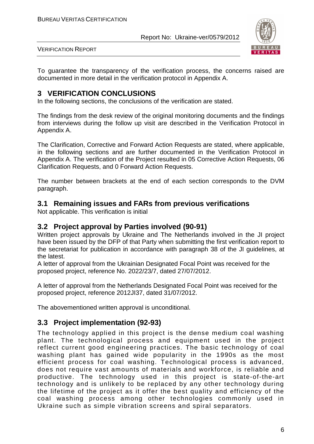

VERIFICATION REPORT

To guarantee the transparency of the verification process, the concerns raised are documented in more detail in the verification protocol in Appendix A.

## **3 VERIFICATION CONCLUSIONS**

In the following sections, the conclusions of the verification are stated.

The findings from the desk review of the original monitoring documents and the findings from interviews during the follow up visit are described in the Verification Protocol in Appendix A.

The Clarification, Corrective and Forward Action Requests are stated, where applicable, in the following sections and are further documented in the Verification Protocol in Appendix A. The verification of the Project resulted in 05 Corrective Action Requests, 06 Clarification Requests, and 0 Forward Action Requests.

The number between brackets at the end of each section corresponds to the DVM paragraph.

## **3.1 Remaining issues and FARs from previous verifications**

Not applicable. This verification is initial

## **3.2 Project approval by Parties involved (90-91)**

Written project approvals by Ukraine and The Netherlands involved in the JI project have been issued by the DFP of that Party when submitting the first verification report to the secretariat for publication in accordance with paragraph 38 of the JI guidelines, at the latest.

A letter of approval from the Ukrainian Designated Focal Point was received for the proposed project, reference No. 2022/23/7, dated 27/07/2012.

A letter of approval from the Netherlands Designated Focal Point was received for the proposed project, reference 2012JI37, dated 31/07/2012.

The abovementioned written approval is unconditional.

## **3.3 Project implementation (92-93)**

The technology applied in this project is the dense medium coal washing plant. The technological process and equipment used in the project reflect current good engineering practices. The basic technology of coal washing plant has gained wide popularity in the 1990s as the most efficient process for coal washing. Technological process is advanced, does not require vast amounts of materials and workforce, is reliable and productive. The technology used in this project is state-of-the-art technology and is unlikely to be replaced by any other technology during the lifetime of the project as it offer the best quality and efficiency of the coal washing process among other technologies commonly used in Ukraine such as simple vibration screens and spiral separators.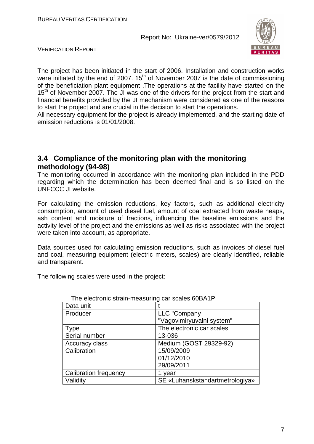

VERIFICATION REPORT

The project has been initiated in the start of 2006. Installation and construction works were initiated by the end of 2007.  $15<sup>th</sup>$  of November 2007 is the date of commissioning of the beneficiation plant equipment .The operations at the facility have started on the  $15<sup>th</sup>$  of November 2007. The JI was one of the drivers for the project from the start and financial benefits provided by the JI mechanism were considered as one of the reasons to start the project and are crucial in the decision to start the operations.

All necessary equipment for the project is already implemented, and the starting date of emission reductions is 01/01/2008.

## **3.4 Compliance of the monitoring plan with the monitoring methodology (94-98)**

The monitoring occurred in accordance with the monitoring plan included in the PDD regarding which the determination has been deemed final and is so listed on the UNFCCC JI website.

For calculating the emission reductions, key factors, such as additional electricity consumption, amount of used diesel fuel, amount of coal extracted from waste heaps, ash content and moisture of fractions, influencing the baseline emissions and the activity level of the project and the emissions as well as risks associated with the project were taken into account, as appropriate.

Data sources used for calculating emission reductions, such as invoices of diesel fuel and coal, measuring equipment (electric meters, scales) are clearly identified, reliable and transparent.

The following scales were used in the project:

| THE CICCUONIC SUGHT HICASUMING CAL SCAICS OUD/ LIT |                                 |
|----------------------------------------------------|---------------------------------|
| Data unit                                          |                                 |
| Producer                                           | LLC "Company                    |
|                                                    | "Vagovimiryuvalni system"       |
| Type                                               | The electronic car scales       |
| Serial number                                      | 13-036                          |
| Accuracy class                                     | Medium (GOST 29329-92)          |
| Calibration                                        | 15/09/2009                      |
|                                                    | 01/12/2010                      |
|                                                    | 29/09/2011                      |
| <b>Calibration frequency</b>                       | 1 year                          |
| Validity                                           | SE «Luhanskstandartmetrologiya» |

#### The electronic strain-measuring car scales 60ВА1P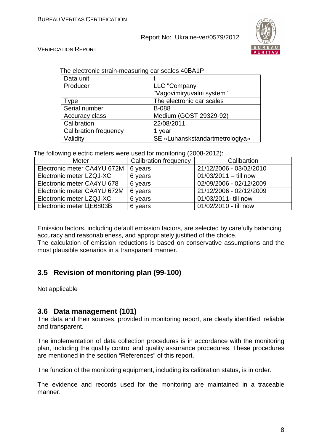

VERIFICATION REPORT

| Data unit                    |                                 |
|------------------------------|---------------------------------|
| Producer                     | LLC "Company                    |
|                              | "Vagovimiryuvalni system"       |
| <b>Type</b>                  | The electronic car scales       |
| Serial number                | <b>B-088</b>                    |
| Accuracy class               | Medium (GOST 29329-92)          |
| Calibration                  | 22/08/2011                      |
| <b>Calibration frequency</b> | 1 year                          |
| Validity                     | SE «Luhanskstandartmetrologiya» |

The electronic strain-measuring car scales 40ВА1P

The following electric meters were used for monitoring (2008-2012):

| Meter                       | <b>Calibration frequency</b> | Calibartion             |
|-----------------------------|------------------------------|-------------------------|
| Electronic meter CA4YU 672M | 6 years                      | 21/12/2006 - 03/02/2010 |
| Electronic meter LZQJ-XC    | 6 years                      | $01/03/2011 -$ till now |
| Electronic meter CA4YU 678  | 6 years                      | 02/09/2006 - 02/12/2009 |
| Electronic meter CA4YU 672M | 6 years                      | 21/12/2006 - 02/12/2009 |
| Electronic meter LZQJ-XC    | 6 years                      | 01/03/2011- till now    |
| Electronic meter LIE6803B   | 6 years                      | 01/02/2010 - till now   |

Emission factors, including default emission factors, are selected by carefully balancing accuracy and reasonableness, and appropriately justified of the choice. The calculation of emission reductions is based on conservative assumptions and the most plausible scenarios in a transparent manner.

## **3.5 Revision of monitoring plan (99-100)**

Not applicable

## **3.6 Data management (101)**

The data and their sources, provided in monitoring report, are clearly identified, reliable and transparent.

The implementation of data collection procedures is in accordance with the monitoring plan, including the quality control and quality assurance procedures. These procedures are mentioned in the section "References" of this report.

The function of the monitoring equipment, including its calibration status, is in order.

The evidence and records used for the monitoring are maintained in a traceable manner.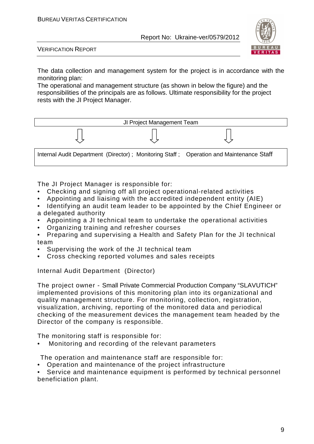

VERIFICATION REPORT

The data collection and management system for the project is in accordance with the monitoring plan:

The operational and management structure (as shown in below the figure) and the responsibilities of the principals are as follows. Ultimate responsibility for the project rests with the JI Project Manager.



The JI Project Manager is responsible for:

- Checking and signing off all project operational-related activities
- Appointing and liaising with the accredited independent entity (AIE)
- Identifying an audit team leader to be appointed by the Chief Engineer or a delegated authority
- Appointing a JI technical team to undertake the operational activities
- Organizing training and refresher courses
- Preparing and supervising a Health and Safety Plan for the JI technical team
- Supervising the work of the JI technical team
- Cross checking reported volumes and sales receipts

Internal Audit Department (Director)

The project owner - Small Private Commercial Production Company "SLAVUTICH" implemented provisions of this monitoring plan into its organizational and quality management structure. For monitoring, collection, registration, visualization, archiving, reporting of the monitored data and periodical checking of the measurement devices the management team headed by the Director of the company is responsible.

The monitoring staff is responsible for:

• Monitoring and recording of the relevant parameters

The operation and maintenance staff are responsible for:

• Operation and maintenance of the project infrastructure

Service and maintenance equipment is performed by technical personnel beneficiation plant.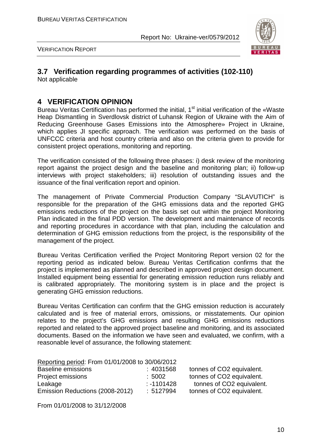

VERIFICATION REPORT

## **3.7 Verification regarding programmes of activities (102-110)**

Not applicable

## **4 VERIFICATION OPINION**

Bureau Veritas Certification has performed the initial, 1<sup>st</sup> initial verification of the «Waste Heap Dismantling in Sverdlovsk district of Luhansk Region of Ukraine with the Aim of Reducing Greenhouse Gases Emissions into the Atmosphere» Project in Ukraine, which applies JI specific approach. The verification was performed on the basis of UNFCCC criteria and host country criteria and also on the criteria given to provide for consistent project operations, monitoring and reporting.

The verification consisted of the following three phases: i) desk review of the monitoring report against the project design and the baseline and monitoring plan; ii) follow-up interviews with project stakeholders; iii) resolution of outstanding issues and the issuance of the final verification report and opinion.

The management of Private Commercial Production Company "SLAVUTICH" is responsible for the preparation of the GHG emissions data and the reported GHG emissions reductions of the project on the basis set out within the project Monitoring Plan indicated in the final PDD version. The development and maintenance of records and reporting procedures in accordance with that plan, including the calculation and determination of GHG emission reductions from the project, is the responsibility of the management of the project.

Bureau Veritas Certification verified the Project Monitoring Report version 02 for the reporting period as indicated below. Bureau Veritas Certification confirms that the project is implemented as planned and described in approved project design document. Installed equipment being essential for generating emission reduction runs reliably and is calibrated appropriately. The monitoring system is in place and the project is generating GHG emission reductions.

Bureau Veritas Certification can confirm that the GHG emission reduction is accurately calculated and is free of material errors, omissions, or misstatements. Our opinion relates to the project's GHG emissions and resulting GHG emissions reductions reported and related to the approved project baseline and monitoring, and its associated documents. Based on the information we have seen and evaluated, we confirm, with a reasonable level of assurance, the following statement:

| Reporting period: From 01/01/2008 to 30/06/2012 |              |                           |
|-------------------------------------------------|--------------|---------------------------|
| <b>Baseline emissions</b>                       | :4031568     | tonnes of CO2 equivalent. |
| Project emissions                               | :5002        | tonnes of CO2 equivalent. |
| Leakage                                         | $: -1101428$ | tonnes of CO2 equivalent. |
| Emission Reductions (2008-2012)                 | :5127994     | tonnes of CO2 equivalent. |

From 01/01/2008 to 31/12/2008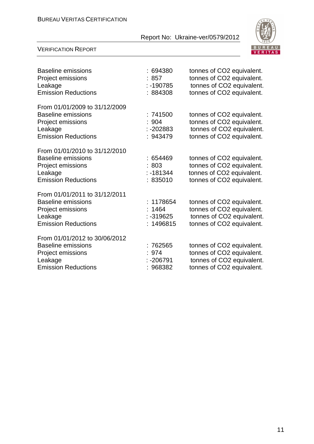

#### VERIFICATION REPORT

| Baseline emissions<br>Project emissions<br>Leakage<br><b>Emission Reductions</b>                                         | :694380<br>: 857<br>$: -190785$<br>: 884308     | tonnes of CO2 equivalent.<br>tonnes of CO2 equivalent.<br>tonnes of CO2 equivalent.<br>tonnes of CO2 equivalent. |
|--------------------------------------------------------------------------------------------------------------------------|-------------------------------------------------|------------------------------------------------------------------------------------------------------------------|
| From 01/01/2009 to 31/12/2009<br><b>Baseline emissions</b><br>Project emissions<br>Leakage<br><b>Emission Reductions</b> | :741500<br>:904<br>: -202883<br>: 943479        | tonnes of CO2 equivalent.<br>tonnes of CO2 equivalent.<br>tonnes of CO2 equivalent.<br>tonnes of CO2 equivalent. |
| From 01/01/2010 to 31/12/2010<br><b>Baseline emissions</b><br>Project emissions<br>Leakage<br><b>Emission Reductions</b> | :654469<br>:803<br>$: -181344$<br>:835010       | tonnes of CO2 equivalent.<br>tonnes of CO2 equivalent.<br>tonnes of CO2 equivalent.<br>tonnes of CO2 equivalent. |
| From 01/01/2011 to 31/12/2011<br><b>Baseline emissions</b><br>Project emissions<br>Leakage<br><b>Emission Reductions</b> | : 1178654<br>: 1464<br>$: -319625$<br>: 1496815 | tonnes of CO2 equivalent.<br>tonnes of CO2 equivalent.<br>tonnes of CO2 equivalent.<br>tonnes of CO2 equivalent. |
| From 01/01/2012 to 30/06/2012<br><b>Baseline emissions</b><br>Project emissions<br>Leakage<br><b>Emission Reductions</b> | : 762565<br>: 974<br>: -206791<br>: 968382      | tonnes of CO2 equivalent.<br>tonnes of CO2 equivalent.<br>tonnes of CO2 equivalent.<br>tonnes of CO2 equivalent. |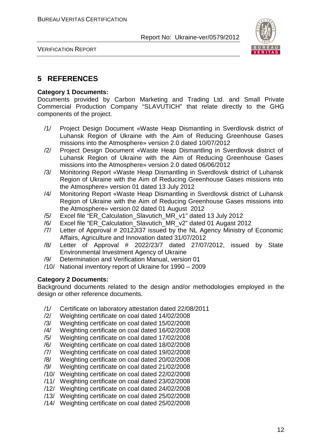

VERIFICATION REPORT

## **5 REFERENCES**

#### **Category 1 Documents:**

Documents provided by Carbon Marketing and Trading Ltd. and Small Private Commercial Production Company "SLAVUTICH" that relate directly to the GHG components of the project.

- /1/ Project Design Document «Waste Heap Dismantling in Sverdlovsk district of Luhansk Region of Ukraine with the Aim of Reducing Greenhouse Gases missions into the Atmosphere» version 2.0 dated 10/07/2012
- /2/ Project Design Document «Waste Heap Dismantling in Sverdlovsk district of Luhansk Region of Ukraine with the Aim of Reducing Greenhouse Gases missions into the Atmosphere» version 2.0 dated 06/06/2012
- /3/ Monitoring Report «Waste Heap Dismantling in Sverdlovsk district of Luhansk Region of Ukraine with the Aim of Reducing Greenhouse Gases missions into the Atmosphere» version 01 dated 13 July 2012
- /4/ Monitoring Report «Waste Heap Dismantling in Sverdlovsk district of Luhansk Region of Ukraine with the Aim of Reducing Greenhouse Gases missions into the Atmosphere» version 02 dated 01 August 2012
- /5/ Excel file "ER\_Calculation\_Slavutich\_MR\_v1" dated 13 July 2012
- /6/ Excel file "ER\_Calculation\_Slavutich\_MR\_v2" dated 01 Augast 2012
- /7/ Letter of Approval # 2012JI37 issued by the NL Agency Ministry of Economic Affairs, Agriculture and Innovation dated 31/07/2012
- /8/ Letter of Approval # 2022/23/7 dated 27/07/2012, issued by State Environmental Investment Agency of Ukraine
- /9/ Determination and Verification Manual, version 01
- /10/ National inventory report of Ukraine for 1990 2009

#### **Category 2 Documents:**

Background documents related to the design and/or methodologies employed in the design or other reference documents.

- /1/ Certificate on laboratory attestation dated 22/08/2011
- /2/ Weighting certificate on coal dated 14/02/2008
- /3/ Weighting certificate on coal dated 15/02/2008
- /4/ Weighting certificate on coal dated 16/02/2008
- /5/ Weighting certificate on coal dated 17/02/2008
- /6/ Weighting certificate on coal dated 18/02/2008
- /7/ Weighting certificate on coal dated 19/02/2008
- /8/ Weighting certificate on coal dated 20/02/2008
- /9/ Weighting certificate on coal dated 21/02/2008
- /10/ Weighting certificate on coal dated 22/02/2008
- /11/ Weighting certificate on coal dated 23/02/2008
- /12/ Weighting certificate on coal dated 24/02/2008
- /13/ Weighting certificate on coal dated 25/02/2008
- /14/ Weighting certificate on coal dated 25/02/2008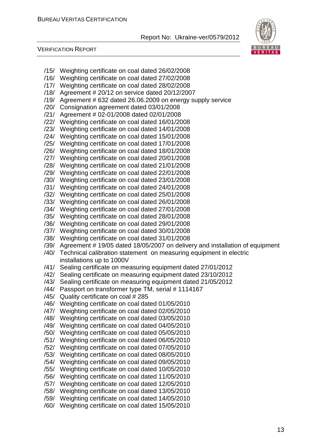

VERIFICATION REPORT

- /15/ Weighting certificate on coal dated 26/02/2008
- /16/ Weighting certificate on coal dated 27/02/2008
- /17/ Weighting certificate on coal dated 28/02/2008
- /18/ Agreement # 20/12 on service dated 20/12/2007
- /19/ Agreement # 632 dated 26.06.2009 on energy supply service
- /20/ Consignation agreement dated 03/01/2008
- /21/ Agreement # 02-01/2008 dated 02/01/2008
- /22/ Weighting certificate on coal dated 16/01/2008
- /23/ Weighting certificate on coal dated 14/01/2008
- /24/ Weighting certificate on coal dated 15/01/2008
- /25/ Weighting certificate on coal dated 17/01/2008
- /26/ Weighting certificate on coal dated 18/01/2008
- /27/ Weighting certificate on coal dated 20/01/2008
- /28/ Weighting certificate on coal dated 21/01/2008
- /29/ Weighting certificate on coal dated 22/01/2008
- /30/ Weighting certificate on coal dated 23/01/2008
- /31/ Weighting certificate on coal dated 24/01/2008
- /32/ Weighting certificate on coal dated 25/01/2008
- /33/ Weighting certificate on coal dated 26/01/2008
- /34/ Weighting certificate on coal dated 27/01/2008
- /35/ Weighting certificate on coal dated 28/01/2008
- /36/ Weighting certificate on coal dated 29/01/2008
- /37/ Weighting certificate on coal dated 30/01/2008
- /38/ Weighting certificate on coal dated 31/01/2008
- /39/ Agreement # 19/05 dated 18/05/2007 on delivery and installation of equipment
- /40/ Technical calibration statement on measuring equipment in electric installations up to 1000V
- /41/ Sealing certificate on measuring equipment dated 27/01/2012
- /42/ Sealing certificate on measuring equipment dated 23/10/2012
- /43/ Sealing certificate on measuring equipment dated 21/05/2012
- /44/ Passport on transformer type TM, serial # 1114167
- /45/ Quality certificate on coal # 285
- /46/ Weighting certificate on coal dated 01/05/2010
- /47/ Weighting certificate on coal dated 02/05/2010
- /48/ Weighting certificate on coal dated 03/05/2010
- /49/ Weighting certificate on coal dated 04/05/2010
- /50/ Weighting certificate on coal dated 05/05/2010
- /51/ Weighting certificate on coal dated 06/05/2010
- /52/ Weighting certificate on coal dated 07/05/2010
- /53/ Weighting certificate on coal dated 08/05/2010
- /54/ Weighting certificate on coal dated 09/05/2010
- /55/ Weighting certificate on coal dated 10/05/2010
- /56/ Weighting certificate on coal dated 11/05/2010
- /57/ Weighting certificate on coal dated 12/05/2010
- /58/ Weighting certificate on coal dated 13/05/2010
- /59/ Weighting certificate on coal dated 14/05/2010
- /60/ Weighting certificate on coal dated 15/05/2010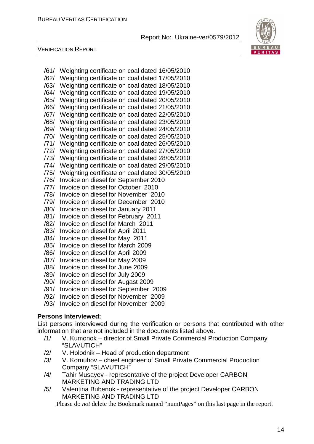

#### VERIFICATION REPORT

- /61/ Weighting certificate on coal dated 16/05/2010 /62/ Weighting certificate on coal dated 17/05/2010 /63/ Weighting certificate on coal dated 18/05/2010 /64/ Weighting certificate on coal dated 19/05/2010 /65/ Weighting certificate on coal dated 20/05/2010 /66/ Weighting certificate on coal dated 21/05/2010 /67/ Weighting certificate on coal dated 22/05/2010 /68/ Weighting certificate on coal dated 23/05/2010 /69/ Weighting certificate on coal dated 24/05/2010 /70/ Weighting certificate on coal dated 25/05/2010 /71/ Weighting certificate on coal dated 26/05/2010 /72/ Weighting certificate on coal dated 27/05/2010 /73/ Weighting certificate on coal dated 28/05/2010 /74/ Weighting certificate on coal dated 29/05/2010
- /75/ Weighting certificate on coal dated 30/05/2010
- /76/ Invoice on diesel for September 2010
- /77/ Invoice on diesel for October 2010
- /78/ Invoice on diesel for November 2010
- /79/ Invoice on diesel for December 2010
- /80/ Invoice on diesel for January 2011
- /81/ Invoice on diesel for February 2011
- /82/ Invoice on diesel for March 2011
- /83/ Invoice on diesel for April 2011
- /84/ Invoice on diesel for May 2011
- /85/ Invoice on diesel for March 2009
- /86/ Invoice on diesel for April 2009
- /87/ Invoice on diesel for May 2009
- /88/ Invoice on diesel for June 2009
- /89/ Invoice on diesel for July 2009
- /90/ Invoice on diesel for Augast 2009
- /91/ Invoice on diesel for September 2009
- /92/ Invoice on diesel for November 2009
- /93/ Invoice on diesel for November 2009

#### **Persons interviewed:**

List persons interviewed during the verification or persons that contributed with other information that are not included in the documents listed above.

- /1/ V. Kumonok director of Small Private Commercial Production Company "SLAVUTICH"
- /2/ V. Holodnik Head of production department
- /3/ V. Kornuhov cheef engineer of Small Private Commercial Production Company "SLAVUTICH"
- /4/ Tahir Musayev representative of the project Developer СARBON MARKETING AND TRADING LTD
- /5/ Valentina Bubenok representative of the project Developer СARBON MARKETING AND TRADING LTD

Please do *not* delete the Bookmark named "numPages" on this last page in the report.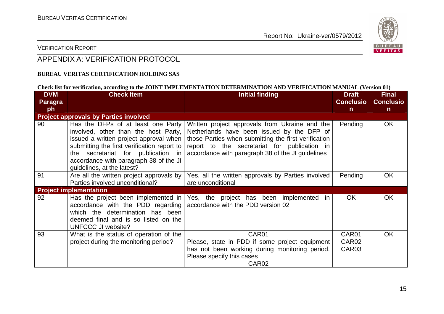

### VERIFICATION REPORT

## APPENDIX A: VERIFICATION PROTOCOL

#### **BUREAU VERITAS CERTIFICATION HOLDING SAS**

#### **Check list for verification, according to the JOINT IMPLEMENTATION DETERMINATION AND VERIFICATION MANUAL (Version 01)**

| <b>DVM</b> | <b>Check Item</b>                                                                                                                                                                                                                                                                 | <b>Initial finding</b>                                                                                                                                                                                                                                    | <b>Draft</b>            | <b>Final</b>     |
|------------|-----------------------------------------------------------------------------------------------------------------------------------------------------------------------------------------------------------------------------------------------------------------------------------|-----------------------------------------------------------------------------------------------------------------------------------------------------------------------------------------------------------------------------------------------------------|-------------------------|------------------|
| Paragra    |                                                                                                                                                                                                                                                                                   |                                                                                                                                                                                                                                                           | <b>Conclusio</b>        | <b>Conclusio</b> |
| ph         |                                                                                                                                                                                                                                                                                   |                                                                                                                                                                                                                                                           | n                       | $\mathsf{n}$     |
|            | <b>Project approvals by Parties involved</b>                                                                                                                                                                                                                                      |                                                                                                                                                                                                                                                           |                         |                  |
| 90         | Has the DFPs of at least one Party<br>involved, other than the host Party,<br>issued a written project approval when<br>submitting the first verification report to<br>the secretariat for publication in<br>accordance with paragraph 38 of the JI<br>guidelines, at the latest? | Written project approvals from Ukraine and the<br>Netherlands have been issued by the DFP of<br>those Parties when submitting the first verification<br>report to the secretariat for publication in<br>accordance with paragraph 38 of the JI guidelines | Pending                 | OK.              |
| 91         | Are all the written project approvals by<br>Parties involved unconditional?                                                                                                                                                                                                       | Yes, all the written approvals by Parties involved<br>are unconditional                                                                                                                                                                                   | Pending                 | <b>OK</b>        |
|            | <b>Project implementation</b>                                                                                                                                                                                                                                                     |                                                                                                                                                                                                                                                           |                         |                  |
| 92         | Has the project been implemented in $ $<br>accordance with the PDD regarding<br>which the determination has been<br>deemed final and is so listed on the<br><b>UNFCCC JI website?</b>                                                                                             | Yes, the project has been implemented in<br>accordance with the PDD version 02                                                                                                                                                                            | <b>OK</b>               | <b>OK</b>        |
| 93         | What is the status of operation of the<br>project during the monitoring period?                                                                                                                                                                                                   | CAR01<br>Please, state in PDD if some project equipment<br>has not been working during monitoring period.<br>Please specify this cases<br>CAR <sub>02</sub>                                                                                               | CAR01<br>CAR02<br>CAR03 | <b>OK</b>        |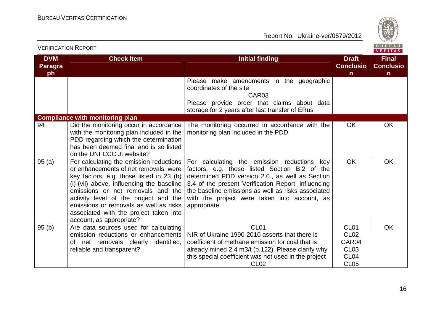

| <b>VERIFICATION REPORT</b>         |                                                                                                                                                                                                                                                                                                                                                                         |                                                                                                                                                                                                                                                                                                                                 | <b>BUREAU</b><br><b>VERITAS</b>                                                                 |                                                  |
|------------------------------------|-------------------------------------------------------------------------------------------------------------------------------------------------------------------------------------------------------------------------------------------------------------------------------------------------------------------------------------------------------------------------|---------------------------------------------------------------------------------------------------------------------------------------------------------------------------------------------------------------------------------------------------------------------------------------------------------------------------------|-------------------------------------------------------------------------------------------------|--------------------------------------------------|
| <b>DVM</b><br><b>Paragra</b><br>ph | <b>Check Item</b>                                                                                                                                                                                                                                                                                                                                                       | <b>Initial finding</b>                                                                                                                                                                                                                                                                                                          | <b>Draft</b><br><b>Conclusio</b><br>$\mathsf{n}$                                                | <b>Final</b><br><b>Conclusio</b><br>$\mathsf{n}$ |
|                                    |                                                                                                                                                                                                                                                                                                                                                                         | Please make amendments in the geographic<br>coordinates of the site<br>CAR <sub>03</sub><br>Please provide order that claims about data<br>storage for 2 years after last transfer of ERus                                                                                                                                      |                                                                                                 |                                                  |
|                                    | <b>Compliance with monitoring plan</b>                                                                                                                                                                                                                                                                                                                                  |                                                                                                                                                                                                                                                                                                                                 |                                                                                                 |                                                  |
| 94                                 | Did the monitoring occur in accordance<br>with the monitoring plan included in the<br>PDD regarding which the determination<br>has been deemed final and is so listed<br>on the UNFCCC JI website?                                                                                                                                                                      | The monitoring occurred in accordance with the<br>monitoring plan included in the PDD                                                                                                                                                                                                                                           | <b>OK</b>                                                                                       | OK                                               |
| 95(a)                              | For calculating the emission reductions<br>or enhancements of net removals, were<br>key factors, e.g. those listed in 23 (b)<br>(i)-(vii) above, influencing the baseline<br>emissions or net removals and the<br>activity level of the project and the<br>emissions or removals as well as risks<br>associated with the project taken into<br>account, as appropriate? | For calculating the emission reductions<br>key<br>factors, e.g. those listed Section B.2 of the<br>determined PDD version 2.0., as well as Section<br>3.4 of the present Verification Report, influencing<br>the baseline emissions as well as risks associated<br>with the project were taken into account, as<br>appropriate. | <b>OK</b>                                                                                       | <b>OK</b>                                        |
| 95(b)                              | Are data sources used for calculating<br>emission reductions or enhancements<br>of net removals clearly identified,<br>reliable and transparent?                                                                                                                                                                                                                        | CL <sub>01</sub><br>NIR of Ukraine 1990-2010 asserts that there is<br>coefficient of methane emission for coal that is<br>already mined 2,4 m3/t (p.122). Please clarify why<br>this special coefficient was not used in the project<br><b>CL02</b>                                                                             | CL <sub>01</sub><br>CL <sub>02</sub><br>CAR04<br><b>CL03</b><br>CL <sub>04</sub><br><b>CL05</b> | <b>OK</b>                                        |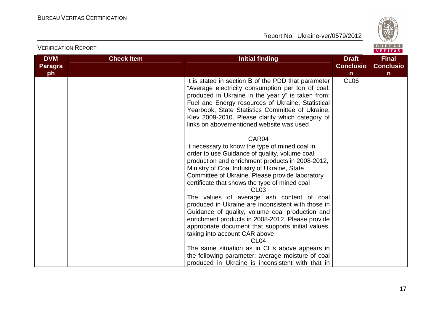

| <b>VERIFICATION REPORT</b>         |                   |                                                                                                                                                                                                                                                                                                                                                                                                                                                                                                                                                                                                                                                                                                                                                                                                                  |                                                  | BUREAU<br><b>VERITAS</b>                         |
|------------------------------------|-------------------|------------------------------------------------------------------------------------------------------------------------------------------------------------------------------------------------------------------------------------------------------------------------------------------------------------------------------------------------------------------------------------------------------------------------------------------------------------------------------------------------------------------------------------------------------------------------------------------------------------------------------------------------------------------------------------------------------------------------------------------------------------------------------------------------------------------|--------------------------------------------------|--------------------------------------------------|
| <b>DVM</b><br><b>Paragra</b><br>ph | <b>Check Item</b> | <b>Initial finding</b>                                                                                                                                                                                                                                                                                                                                                                                                                                                                                                                                                                                                                                                                                                                                                                                           | <b>Draft</b><br><b>Conclusio</b><br>$\mathsf{n}$ | <b>Final</b><br><b>Conclusio</b><br>$\mathsf{n}$ |
|                                    |                   | It is stated in section B of the PDD that parameter<br>"Average electricity consumption per ton of coal,<br>produced in Ukraine in the year y" is taken from:<br>Fuel and Energy resources of Ukraine, Statistical<br>Yearbook, State Statistics Committee of Ukraine,<br>Kiev 2009-2010. Please clarify which category of<br>links on abovementioned website was used<br>CAR04<br>It necessary to know the type of mined coal in<br>order to use Guidance of quality, volume coal<br>production and enrichment products in 2008-2012,<br>Ministry of Coal Industry of Ukraine, State<br>Committee of Ukraine. Please provide laboratory<br>certificate that shows the type of mined coal<br>CL <sub>03</sub><br>The values of average ash content of coal<br>produced in Ukraine are inconsistent with those in | CL <sub>06</sub>                                 |                                                  |
|                                    |                   | Guidance of quality, volume coal production and<br>enrichment products in 2008-2012. Please provide<br>appropriate document that supports initial values,<br>taking into account CAR above<br>CL <sub>04</sub>                                                                                                                                                                                                                                                                                                                                                                                                                                                                                                                                                                                                   |                                                  |                                                  |
|                                    |                   | The same situation as in CL's above appears in<br>the following parameter: average moisture of coal<br>produced in Ukraine is inconsistent with that in                                                                                                                                                                                                                                                                                                                                                                                                                                                                                                                                                                                                                                                          |                                                  |                                                  |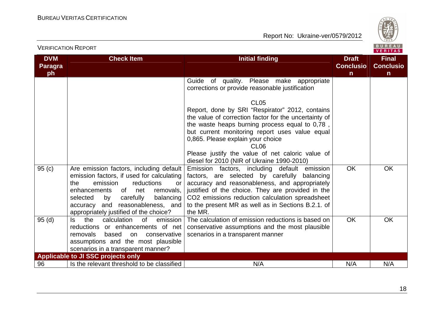

|                                    | <b>VERIFICATION REPORT</b>                                                                                                                                                                                                                                                                      |                                                                                                                                                                                                                                                                                                                                  |                                                  | BUREAU<br><b>VERITAS</b>                         |
|------------------------------------|-------------------------------------------------------------------------------------------------------------------------------------------------------------------------------------------------------------------------------------------------------------------------------------------------|----------------------------------------------------------------------------------------------------------------------------------------------------------------------------------------------------------------------------------------------------------------------------------------------------------------------------------|--------------------------------------------------|--------------------------------------------------|
| <b>DVM</b><br><b>Paragra</b><br>ph | <b>Check Item</b>                                                                                                                                                                                                                                                                               | <b>Initial finding</b>                                                                                                                                                                                                                                                                                                           | <b>Draft</b><br><b>Conclusio</b><br>$\mathsf{n}$ | <b>Final</b><br><b>Conclusio</b><br>$\mathsf{n}$ |
|                                    |                                                                                                                                                                                                                                                                                                 | Guide of quality. Please make appropriate<br>corrections or provide reasonable justification<br>CL <sub>05</sub><br>Report, done by SRI "Respirator" 2012, contains<br>the value of correction factor for the uncertainty of<br>the waste heaps burning process equal to 0.78,<br>but current monitoring report uses value equal |                                                  |                                                  |
|                                    |                                                                                                                                                                                                                                                                                                 | 0,865. Please explain your choice<br>CL <sub>06</sub><br>Please justify the value of net caloric value of<br>diesel for 2010 (NIR of Ukraine 1990-2010)                                                                                                                                                                          |                                                  |                                                  |
| 95(c)                              | Are emission factors, including default<br>emission factors, if used for calculating<br>emission<br>reductions<br>the<br>or<br>of<br>enhancements<br>net<br>removals,<br>carefully<br>balancing<br>selected<br>by<br>accuracy and reasonableness, and<br>appropriately justified of the choice? | Emission factors, including default emission<br>factors, are selected by carefully<br>balancing<br>accuracy and reasonableness, and appropriately<br>justified of the choice. They are provided in the<br>CO2 emissions reduction calculation spreadsheet<br>to the present MR as well as in Sections B.2.1. of<br>the MR.       | <b>OK</b>                                        | <b>OK</b>                                        |
| 95(d)                              | calculation<br>of<br>emission<br>Is the<br>reductions or enhancements of net<br>removals<br>based<br>on<br>conservative<br>assumptions and the most plausible<br>scenarios in a transparent manner?                                                                                             | The calculation of emission reductions is based on<br>conservative assumptions and the most plausible<br>scenarios in a transparent manner                                                                                                                                                                                       | <b>OK</b>                                        | <b>OK</b>                                        |
|                                    | <b>Applicable to JI SSC projects only</b>                                                                                                                                                                                                                                                       |                                                                                                                                                                                                                                                                                                                                  |                                                  |                                                  |
| 96                                 | Is the relevant threshold to be classified                                                                                                                                                                                                                                                      | N/A                                                                                                                                                                                                                                                                                                                              | N/A                                              | N/A                                              |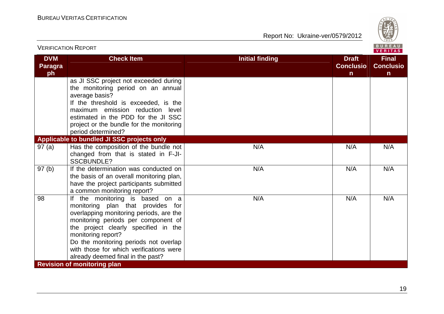

|                                    | <b>VERIFICATION REPORT</b>                                                                                                                                                                                                                                                                                                                    |                                                                            | BUREAU<br><b>VERITAS</b>                         |
|------------------------------------|-----------------------------------------------------------------------------------------------------------------------------------------------------------------------------------------------------------------------------------------------------------------------------------------------------------------------------------------------|----------------------------------------------------------------------------|--------------------------------------------------|
| <b>DVM</b><br><b>Paragra</b><br>ph | <b>Check Item</b>                                                                                                                                                                                                                                                                                                                             | <b>Initial finding</b><br><b>Draft</b><br><b>Conclusio</b><br>$\mathsf{n}$ | <b>Final</b><br><b>Conclusio</b><br>$\mathsf{n}$ |
|                                    | as JI SSC project not exceeded during<br>the monitoring period on an annual<br>average basis?<br>If the threshold is exceeded, is the<br>maximum emission reduction<br>level<br>estimated in the PDD for the JI SSC<br>project or the bundle for the monitoring<br>period determined?                                                         |                                                                            |                                                  |
|                                    | Applicable to bundled JI SSC projects only                                                                                                                                                                                                                                                                                                    |                                                                            |                                                  |
| 97(a)                              | Has the composition of the bundle not<br>changed from that is stated in F-JI-<br><b>SSCBUNDLE?</b>                                                                                                                                                                                                                                            | N/A<br>N/A                                                                 | N/A                                              |
| 97(b)                              | If the determination was conducted on<br>the basis of an overall monitoring plan,<br>have the project participants submitted<br>a common monitoring report?                                                                                                                                                                                   | N/A<br>N/A                                                                 | N/A                                              |
| 98                                 | If the monitoring is based on a<br>monitoring plan that provides for<br>overlapping monitoring periods, are the<br>monitoring periods per component of<br>the project clearly specified in the<br>monitoring report?<br>Do the monitoring periods not overlap<br>with those for which verifications were<br>already deemed final in the past? | N/A<br>N/A                                                                 | N/A                                              |
|                                    | <b>Revision of monitoring plan</b>                                                                                                                                                                                                                                                                                                            |                                                                            |                                                  |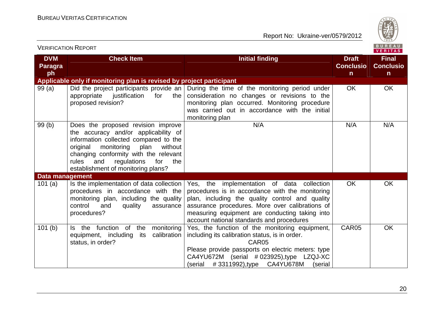

| <b>VERIFICATION REPORT</b><br><b>VERITAS</b><br><b>DVM</b><br><b>Final</b><br><b>Check Item</b><br><b>Initial finding</b><br><b>Draft</b><br><b>Conclusio</b><br><b>Paragra</b><br>ph<br>$\mathsf{n}$<br>$\mathsf{n}$<br>Applicable only if monitoring plan is revised by project participant<br><b>OK</b><br>99(a)<br>Did the project participants provide an<br>During the time of the monitoring period under<br>OK. |                                                                                                                                                                                                                                                                                              |                                                                                                                                                                                                                                                                                                    |           |                  |  |  |  |
|-------------------------------------------------------------------------------------------------------------------------------------------------------------------------------------------------------------------------------------------------------------------------------------------------------------------------------------------------------------------------------------------------------------------------|----------------------------------------------------------------------------------------------------------------------------------------------------------------------------------------------------------------------------------------------------------------------------------------------|----------------------------------------------------------------------------------------------------------------------------------------------------------------------------------------------------------------------------------------------------------------------------------------------------|-----------|------------------|--|--|--|
|                                                                                                                                                                                                                                                                                                                                                                                                                         |                                                                                                                                                                                                                                                                                              |                                                                                                                                                                                                                                                                                                    |           | <b>Conclusio</b> |  |  |  |
|                                                                                                                                                                                                                                                                                                                                                                                                                         |                                                                                                                                                                                                                                                                                              |                                                                                                                                                                                                                                                                                                    |           |                  |  |  |  |
|                                                                                                                                                                                                                                                                                                                                                                                                                         | appropriate justification<br>for<br>the<br>proposed revision?                                                                                                                                                                                                                                | consideration no changes or revisions to the<br>monitoring plan occurred. Monitoring procedure<br>was carried out in accordance with the initial<br>monitoring plan                                                                                                                                |           |                  |  |  |  |
| 99(b)                                                                                                                                                                                                                                                                                                                                                                                                                   | Does the proposed revision improve<br>the accuracy and/or applicability of<br>information collected compared to the<br>original<br>monitoring<br>without<br>plan<br>changing conformity with the relevant<br>rules<br>regulations<br>and<br>for<br>the<br>establishment of monitoring plans? | N/A                                                                                                                                                                                                                                                                                                | N/A       | N/A              |  |  |  |
| Data management                                                                                                                                                                                                                                                                                                                                                                                                         |                                                                                                                                                                                                                                                                                              |                                                                                                                                                                                                                                                                                                    |           |                  |  |  |  |
| 101 $(a)$                                                                                                                                                                                                                                                                                                                                                                                                               | Is the implementation of data collection<br>procedures in accordance with the<br>monitoring plan, including the quality<br>control<br>and<br>assurance<br>quality<br>procedures?                                                                                                             | Yes, the implementation of data collection<br>procedures is in accordance with the monitoring<br>plan, including the quality control and quality<br>assurance procedures. More over calibrations of<br>measuring equipment are conducting taking into<br>account national standards and procedures | <b>OK</b> | <b>OK</b>        |  |  |  |
| 101(b)                                                                                                                                                                                                                                                                                                                                                                                                                  | Is the function of the<br>monitoring<br>calibration<br>equipment, including<br>its<br>status, in order?                                                                                                                                                                                      | Yes, the function of the monitoring equipment,<br>including its calibration status, is in order.<br>CAR05<br>Please provide passports on electric meters: type<br>CA4YU672M (serial #023925),type LZQJ-XC<br>$\frac{1}{4}$ (serial #3311992),type CA4YU678M<br>(serial                             | CAR05     | OK               |  |  |  |

 $V = V$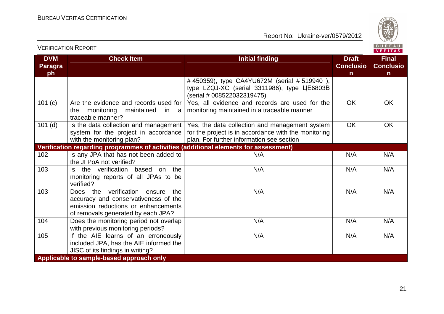

| <b>VERIFICATION REPORT</b>                       |                                                                                                                                                          |                                                                                                                                                     |                                                  | BUREAU<br>VERITAS                                |
|--------------------------------------------------|----------------------------------------------------------------------------------------------------------------------------------------------------------|-----------------------------------------------------------------------------------------------------------------------------------------------------|--------------------------------------------------|--------------------------------------------------|
| <b>DVM</b><br><b>Check Item</b><br>Paragra<br>ph |                                                                                                                                                          | <b>Initial finding</b>                                                                                                                              | <b>Draft</b><br><b>Conclusio</b><br>$\mathsf{n}$ | <b>Final</b><br><b>Conclusio</b><br>$\mathsf{n}$ |
|                                                  |                                                                                                                                                          | #450359), type CA4YU672M (serial #519940),<br>type LZQJ-XC (serial 3311986), type ЦЕ6803В<br>(serial # 008522032319475)                             |                                                  |                                                  |
| 101(c)                                           | Are the evidence and records used for<br>the<br>monitoring<br>maintained<br>in a<br>traceable manner?                                                    | Yes, all evidence and records are used for the<br>monitoring maintained in a traceable manner                                                       | <b>OK</b>                                        | OK                                               |
| $101$ (d)                                        | Is the data collection and management<br>system for the project in accordance<br>with the monitoring plan?                                               | Yes, the data collection and management system<br>for the project is in accordance with the monitoring<br>plan. For further information see section | <b>OK</b>                                        | <b>OK</b>                                        |
|                                                  | Verification regarding programmes of activities (additional elements for assessment)                                                                     |                                                                                                                                                     |                                                  |                                                  |
| 102                                              | Is any JPA that has not been added to<br>the JI PoA not verified?                                                                                        | N/A                                                                                                                                                 | N/A                                              | N/A                                              |
| 103                                              | Is the verification based on the<br>monitoring reports of all JPAs to be<br>verified?                                                                    | N/A                                                                                                                                                 | N/A                                              | N/A                                              |
| 103                                              | Does the verification ensure<br>the<br>accuracy and conservativeness of the<br>emission reductions or enhancements<br>of removals generated by each JPA? | N/A                                                                                                                                                 | N/A                                              | N/A                                              |
| 104                                              | Does the monitoring period not overlap<br>with previous monitoring periods?                                                                              | N/A                                                                                                                                                 | N/A                                              | N/A                                              |
| 105                                              | If the AIE learns of an erroneously<br>included JPA, has the AIE informed the<br>JISC of its findings in writing?                                        | N/A                                                                                                                                                 | N/A                                              | N/A                                              |
|                                                  | Applicable to sample-based approach only                                                                                                                 |                                                                                                                                                     |                                                  |                                                  |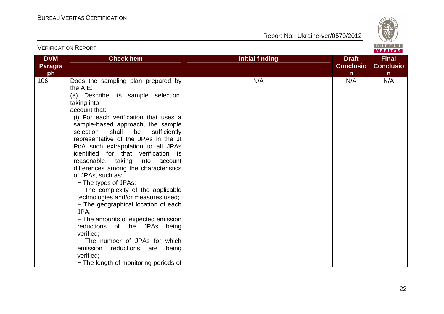

|                             | <b>VERIFICATION REPORT</b>                                                                                                                                                                                                                                                                                                                                                                                                                                                                                                                                                                                                                                                                                                                                                                                                                |                        |                                                  | <b>BUREAU</b><br>VERITAS                  |
|-----------------------------|-------------------------------------------------------------------------------------------------------------------------------------------------------------------------------------------------------------------------------------------------------------------------------------------------------------------------------------------------------------------------------------------------------------------------------------------------------------------------------------------------------------------------------------------------------------------------------------------------------------------------------------------------------------------------------------------------------------------------------------------------------------------------------------------------------------------------------------------|------------------------|--------------------------------------------------|-------------------------------------------|
| <b>DVM</b><br>Paragra<br>ph | <b>Check Item</b>                                                                                                                                                                                                                                                                                                                                                                                                                                                                                                                                                                                                                                                                                                                                                                                                                         | <b>Initial finding</b> | <b>Draft</b><br><b>Conclusio</b><br>$\mathsf{n}$ | <b>Final</b><br>Conclusio<br>$\mathsf{n}$ |
| 106                         | Does the sampling plan prepared by<br>the AIE:<br>(a) Describe its sample selection,<br>taking into<br>account that:<br>(i) For each verification that uses a<br>sample-based approach, the sample<br>selection<br>shall<br>be<br>sufficiently<br>representative of the JPAs in the JI<br>PoA such extrapolation to all JPAs<br>identified for that verification is<br>reasonable, taking<br>into account<br>differences among the characteristics<br>of JPAs, such as:<br>- The types of JPAs;<br>- The complexity of the applicable<br>technologies and/or measures used;<br>- The geographical location of each<br>JPA:<br>- The amounts of expected emission<br>reductions of the JPAs being<br>verified;<br>- The number of JPAs for which<br>emission<br>reductions are being<br>verified;<br>- The length of monitoring periods of | N/A                    | N/A                                              | N/A                                       |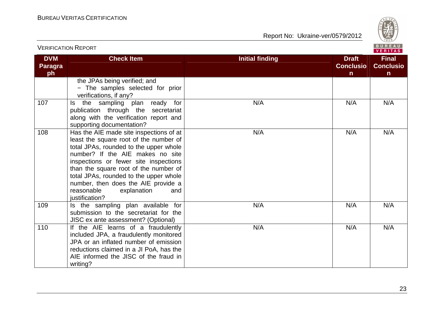

| <b>VERIFICATION REPORT</b>  |                                                                                                                                                                                                                                                                                                                                                                                          |                                                                            | BUREAU<br>VERITAS                                |
|-----------------------------|------------------------------------------------------------------------------------------------------------------------------------------------------------------------------------------------------------------------------------------------------------------------------------------------------------------------------------------------------------------------------------------|----------------------------------------------------------------------------|--------------------------------------------------|
| <b>DVM</b><br>Paragra<br>ph | <b>Check Item</b>                                                                                                                                                                                                                                                                                                                                                                        | <b>Initial finding</b><br><b>Draft</b><br><b>Conclusio</b><br>$\mathsf{n}$ | <b>Final</b><br><b>Conclusio</b><br>$\mathsf{n}$ |
|                             | the JPAs being verified; and<br>- The samples selected for prior<br>verifications, if any?                                                                                                                                                                                                                                                                                               |                                                                            |                                                  |
| 107                         | Is the sampling plan ready for<br>publication through the secretariat<br>along with the verification report and<br>supporting documentation?                                                                                                                                                                                                                                             | N/A<br>N/A                                                                 | N/A                                              |
| 108                         | Has the AIE made site inspections of at<br>least the square root of the number of<br>total JPAs, rounded to the upper whole<br>number? If the AIE makes no site<br>inspections or fewer site inspections<br>than the square root of the number of<br>total JPAs, rounded to the upper whole<br>number, then does the AIE provide a<br>reasonable<br>explanation<br>and<br>justification? | N/A<br>N/A                                                                 | N/A                                              |
| 109                         | Is the sampling plan available for<br>submission to the secretariat for the<br>JISC ex ante assessment? (Optional)                                                                                                                                                                                                                                                                       | N/A<br>N/A                                                                 | N/A                                              |
| 110                         | If the AIE learns of a fraudulently<br>included JPA, a fraudulently monitored<br>JPA or an inflated number of emission<br>reductions claimed in a JI PoA, has the<br>AIE informed the JISC of the fraud in<br>writing?                                                                                                                                                                   | N/A<br>N/A                                                                 | N/A                                              |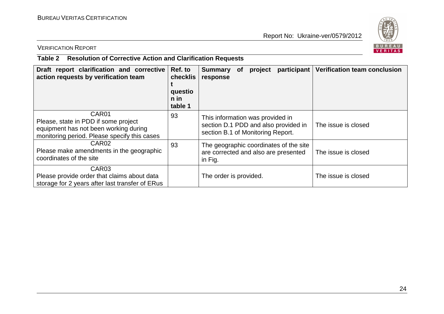

## VERIFICATION REPORT

## **Table 2 Resolution of Corrective Action and Clarification Requests**

| Draft report clarification and corrective<br>action requests by verification team                                                      | Ref. to<br>checklis<br>questio<br>$n$ in<br>table 1 | participant<br><b>Summary</b><br><b>of</b><br>project<br>response                                             | <b>Verification team conclusion</b> |
|----------------------------------------------------------------------------------------------------------------------------------------|-----------------------------------------------------|---------------------------------------------------------------------------------------------------------------|-------------------------------------|
| CAR01<br>Please, state in PDD if some project<br>equipment has not been working during<br>monitoring period. Please specify this cases | 93                                                  | This information was provided in<br>section D.1 PDD and also provided in<br>section B.1 of Monitoring Report. | The issue is closed                 |
| CAR <sub>02</sub><br>Please make amendments in the geographic<br>coordinates of the site                                               | 93                                                  | The geographic coordinates of the site<br>are corrected and also are presented<br>in Fig.                     | The issue is closed                 |
| CAR <sub>03</sub><br>Please provide order that claims about data<br>storage for 2 years after last transfer of ERus                    |                                                     | The order is provided.                                                                                        | The issue is closed                 |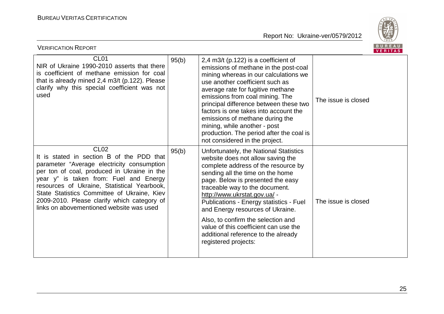

| <b>VERIFICATION REPORT</b>                                                                                                                                                                                                                                                                                                                                                                    |       |                                                                                                                                                                                                                                                                                                                                                                                                                                                                                            |                     | <b>BUREAU</b><br><b>VERITAS</b> |
|-----------------------------------------------------------------------------------------------------------------------------------------------------------------------------------------------------------------------------------------------------------------------------------------------------------------------------------------------------------------------------------------------|-------|--------------------------------------------------------------------------------------------------------------------------------------------------------------------------------------------------------------------------------------------------------------------------------------------------------------------------------------------------------------------------------------------------------------------------------------------------------------------------------------------|---------------------|---------------------------------|
| CL <sub>01</sub><br>NIR of Ukraine 1990-2010 asserts that there<br>is coefficient of methane emission for coal<br>that is already mined 2,4 m3/t (p.122). Please<br>clarify why this special coefficient was not<br>used                                                                                                                                                                      | 95(b) | 2,4 m3/t (p.122) is a coefficient of<br>emissions of methane in the post-coal<br>mining whereas in our calculations we<br>use another coefficient such as<br>average rate for fugitive methane<br>emissions from coal mining. The<br>principal difference between these two<br>factors is one takes into account the<br>emissions of methane during the<br>mining, while another - post<br>production. The period after the coal is<br>not considered in the project.                      | The issue is closed |                                 |
| CL <sub>02</sub><br>It is stated in section B of the PDD that<br>parameter "Average electricity consumption<br>per ton of coal, produced in Ukraine in the<br>year y" is taken from: Fuel and Energy<br>resources of Ukraine, Statistical Yearbook,<br>State Statistics Committee of Ukraine, Kiev<br>2009-2010. Please clarify which category of<br>links on abovementioned website was used | 95(b) | Unfortunately, the National Statistics<br>website does not allow saving the<br>complete address of the resource by<br>sending all the time on the home<br>page. Below is presented the easy<br>traceable way to the document.<br>http://www.ukrstat.gov.ua/ -<br>Publications - Energy statistics - Fuel<br>and Energy resources of Ukraine.<br>Also, to confirm the selection and<br>value of this coefficient can use the<br>additional reference to the already<br>registered projects: | The issue is closed |                                 |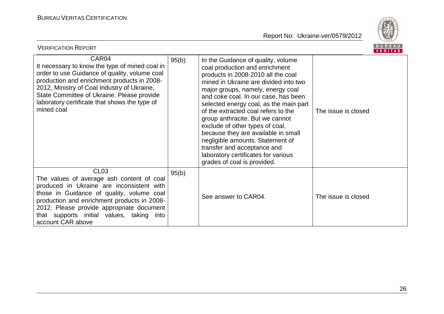

| BUREAU<br><b>VERIFICATION REPORT</b><br><b>VERITAS</b>                                                                                                                                                                                                                                                                |       |                                                                                                                                                                                                                                                                                                                                                                                                                                                                                                                                                                         |                     |  |
|-----------------------------------------------------------------------------------------------------------------------------------------------------------------------------------------------------------------------------------------------------------------------------------------------------------------------|-------|-------------------------------------------------------------------------------------------------------------------------------------------------------------------------------------------------------------------------------------------------------------------------------------------------------------------------------------------------------------------------------------------------------------------------------------------------------------------------------------------------------------------------------------------------------------------------|---------------------|--|
| CAR04<br>It necessary to know the type of mined coal in<br>order to use Guidance of quality, volume coal<br>production and enrichment products in 2008-<br>2012, Ministry of Coal Industry of Ukraine,<br>State Committee of Ukraine. Please provide<br>laboratory certificate that shows the type of<br>mined coal   | 95(b) | In the Guidance of quality, volume<br>coal production and enrichment<br>products in 2008-2010 all the coal<br>mined in Ukraine are divided into two<br>major groups, namely, energy coal<br>and coke coal. In our case, has been<br>selected energy coal, as the main part<br>of the extracted coal refers to the<br>group anthracite. But we cannot<br>exclude of other types of coal,<br>because they are available in small<br>negligible amounts. Statement of<br>transfer and acceptance and<br>laboratory certificates for various<br>grades of coal is provided. | The issue is closed |  |
| CL <sub>03</sub><br>The values of average ash content of coal<br>produced in Ukraine are inconsistent with<br>those in Guidance of quality, volume coal<br>production and enrichment products in 2008-<br>2012. Please provide appropriate document<br>that supports initial values, taking into<br>account CAR above | 95(b) | See answer to CAR04.                                                                                                                                                                                                                                                                                                                                                                                                                                                                                                                                                    | The issue is closed |  |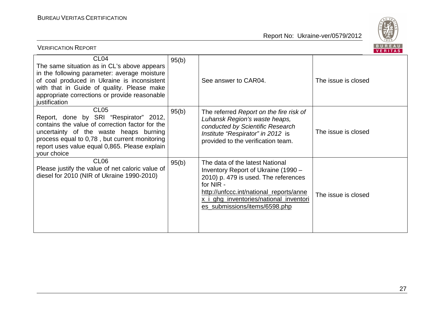

| BUREAU<br><b>VERIFICATION REPORT</b><br><b>VERITAS</b>                                                                                                                                                                                                                         |       |                                                                                                                                                                                                                                                   |                     |  |  |
|--------------------------------------------------------------------------------------------------------------------------------------------------------------------------------------------------------------------------------------------------------------------------------|-------|---------------------------------------------------------------------------------------------------------------------------------------------------------------------------------------------------------------------------------------------------|---------------------|--|--|
| CL <sub>04</sub><br>The same situation as in CL's above appears<br>in the following parameter: average moisture<br>of coal produced in Ukraine is inconsistent<br>with that in Guide of quality. Please make<br>appropriate corrections or provide reasonable<br>justification | 95(b) | See answer to CAR04.                                                                                                                                                                                                                              | The issue is closed |  |  |
| CL <sub>05</sub><br>Report, done by SRI "Respirator" 2012,<br>contains the value of correction factor for the<br>uncertainty of the waste heaps burning<br>process equal to 0,78, but current monitoring<br>report uses value equal 0,865. Please explain<br>your choice       | 95(b) | The referred Report on the fire risk of<br>Luhansk Region's waste heaps,<br>conducted by Scientific Research<br>Institute "Respirator" in 2012 is<br>provided to the verification team.                                                           | The issue is closed |  |  |
| CL <sub>06</sub><br>Please justify the value of net caloric value of<br>diesel for 2010 (NIR of Ukraine 1990-2010)                                                                                                                                                             | 95(b) | The data of the latest National<br>Inventory Report of Ukraine (1990 -<br>2010) p. 479 is used. The references<br>for NIR -<br>http://unfccc.int/national_reports/anne<br>x_i_ghg_inventories/national_inventori<br>es_submissions/items/6598.php | The issue is closed |  |  |